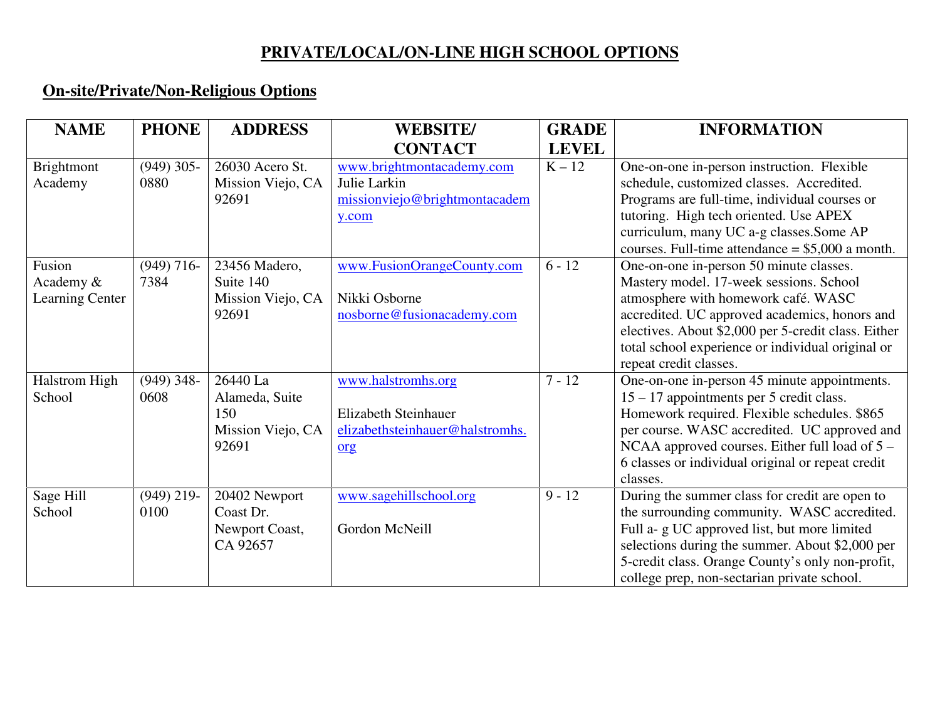## **PRIVATE/LOCAL/ON-LINE HIGH SCHOOL OPTIONS**

## **On-site/Private/Non-Religious Options**

| <b>NAME</b>            | <b>PHONE</b>         | <b>ADDRESS</b>                       | <b>WEBSITE/</b>                           | <b>GRADE</b> | <b>INFORMATION</b>                                                                                   |
|------------------------|----------------------|--------------------------------------|-------------------------------------------|--------------|------------------------------------------------------------------------------------------------------|
|                        |                      |                                      | <b>CONTACT</b>                            | <b>LEVEL</b> |                                                                                                      |
| Brightmont<br>Academy  | $(949)$ 305-<br>0880 | 26030 Acero St.<br>Mission Viejo, CA | www.brightmontacademy.com<br>Julie Larkin | $K - 12$     | One-on-one in-person instruction. Flexible<br>schedule, customized classes. Accredited.              |
|                        |                      | 92691                                | missionviejo@brightmontacadem             |              | Programs are full-time, individual courses or                                                        |
|                        |                      |                                      | y.com                                     |              | tutoring. High tech oriented. Use APEX<br>curriculum, many UC a-g classes. Some AP                   |
|                        |                      |                                      |                                           |              | courses. Full-time attendance $= $5,000$ a month.                                                    |
| Fusion                 | $(949)$ 716-         | 23456 Madero,                        | www.FusionOrangeCounty.com                | $6 - 12$     | One-on-one in-person 50 minute classes.                                                              |
| Academy &              | 7384                 | Suite 140                            |                                           |              | Mastery model. 17-week sessions. School                                                              |
| <b>Learning Center</b> |                      | Mission Viejo, CA                    | Nikki Osborne                             |              | atmosphere with homework café. WASC                                                                  |
|                        |                      | 92691                                | nosborne@fusionacademy.com                |              | accredited. UC approved academics, honors and<br>electives. About \$2,000 per 5-credit class. Either |
|                        |                      |                                      |                                           |              | total school experience or individual original or                                                    |
|                        |                      |                                      |                                           |              | repeat credit classes.                                                                               |
| <b>Halstrom High</b>   | $(949)$ 348-         | 26440 La                             | www.halstromhs.org                        | $7 - 12$     | One-on-one in-person 45 minute appointments.                                                         |
| School                 | 0608                 | Alameda, Suite                       |                                           |              | 15 – 17 appointments per 5 credit class.                                                             |
|                        |                      | 150                                  | <b>Elizabeth Steinhauer</b>               |              | Homework required. Flexible schedules. \$865                                                         |
|                        |                      | Mission Viejo, CA<br>92691           | elizabethsteinhauer@halstromhs.           |              | per course. WASC accredited. UC approved and<br>NCAA approved courses. Either full load of $5 -$     |
|                        |                      |                                      | org                                       |              | 6 classes or individual original or repeat credit                                                    |
|                        |                      |                                      |                                           |              | classes.                                                                                             |
| Sage Hill              | $(949)$ 219-         | 20402 Newport                        | www.sagehillschool.org                    | $9 - 12$     | During the summer class for credit are open to                                                       |
| School                 | 0100                 | Coast Dr.                            |                                           |              | the surrounding community. WASC accredited.                                                          |
|                        |                      | Newport Coast,                       | Gordon McNeill                            |              | Full a- g UC approved list, but more limited                                                         |
|                        |                      | CA 92657                             |                                           |              | selections during the summer. About \$2,000 per                                                      |
|                        |                      |                                      |                                           |              | 5-credit class. Orange County's only non-profit,                                                     |
|                        |                      |                                      |                                           |              | college prep, non-sectarian private school.                                                          |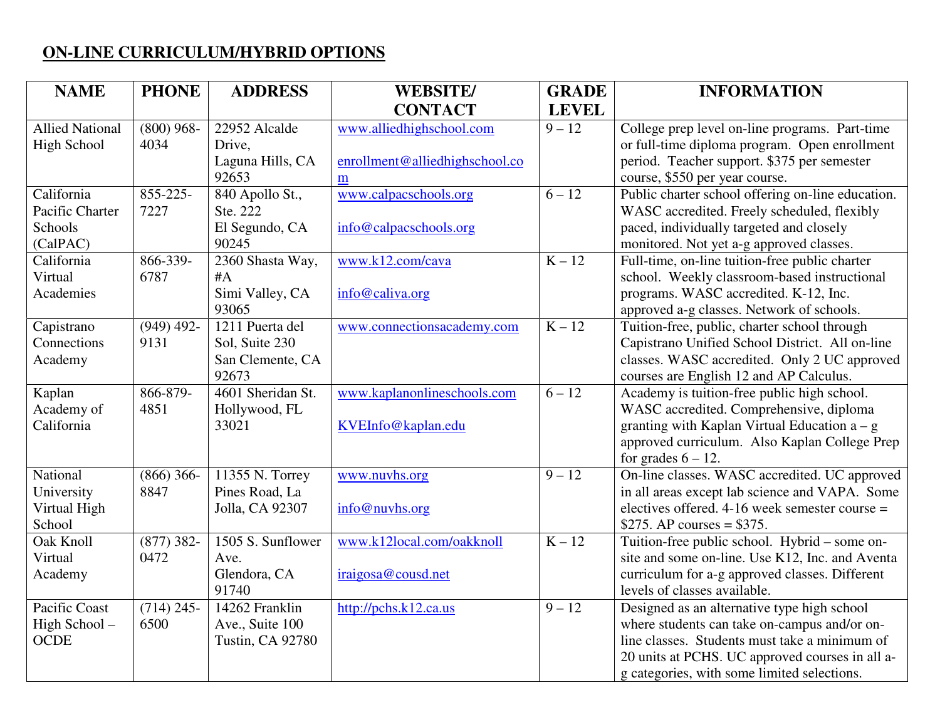## **ON-LINE CURRICULUM/HYBRID OPTIONS**

| <b>NAME</b>            | <b>PHONE</b> | <b>ADDRESS</b>               | <b>WEBSITE/</b>                | <b>GRADE</b> | <b>INFORMATION</b>                                                                     |
|------------------------|--------------|------------------------------|--------------------------------|--------------|----------------------------------------------------------------------------------------|
|                        |              |                              | <b>CONTACT</b>                 | <b>LEVEL</b> |                                                                                        |
| <b>Allied National</b> | $(800)$ 968- | 22952 Alcalde                | www.alliedhighschool.com       | $9 - 12$     | College prep level on-line programs. Part-time                                         |
| <b>High School</b>     | 4034         | Drive,                       |                                |              | or full-time diploma program. Open enrollment                                          |
|                        |              | Laguna Hills, CA             | enrollment@alliedhighschool.co |              | period. Teacher support. \$375 per semester                                            |
|                        |              | 92653                        | m                              |              | course, \$550 per year course.                                                         |
| California             | 855-225-     | 840 Apollo St.,              | www.calpacschools.org          | $6 - 12$     | Public charter school offering on-line education.                                      |
| Pacific Charter        | 7227         | Ste. 222                     |                                |              | WASC accredited. Freely scheduled, flexibly                                            |
| Schools                |              | El Segundo, CA               | info@calpacschools.org         |              | paced, individually targeted and closely                                               |
| (CalPAC)               |              | 90245                        |                                |              | monitored. Not yet a-g approved classes.                                               |
| California             | 866-339-     | 2360 Shasta Way,             | www.k12.com/cava               | $K - 12$     | Full-time, on-line tuition-free public charter                                         |
| Virtual                | 6787         | #A                           |                                |              | school. Weekly classroom-based instructional                                           |
| Academies              |              | Simi Valley, CA              | info@caliva.org                |              | programs. WASC accredited. K-12, Inc.                                                  |
|                        |              | 93065                        |                                |              | approved a-g classes. Network of schools.                                              |
| Capistrano             | $(949)$ 492- | $\overline{12}11$ Puerta del | www.connectionsacademy.com     | $K - 12$     | Tuition-free, public, charter school through                                           |
| Connections            | 9131         | Sol, Suite 230               |                                |              | Capistrano Unified School District. All on-line                                        |
| Academy                |              | San Clemente, CA<br>92673    |                                |              | classes. WASC accredited. Only 2 UC approved                                           |
| Kaplan                 | 866-879-     | 4601 Sheridan St.            | www.kaplanonlineschools.com    | $6 - 12$     | courses are English 12 and AP Calculus.<br>Academy is tuition-free public high school. |
| Academy of             | 4851         | Hollywood, FL                |                                |              | WASC accredited. Comprehensive, diploma                                                |
| California             |              | 33021                        | KVEInfo@kaplan.edu             |              | granting with Kaplan Virtual Education $a - g$                                         |
|                        |              |                              |                                |              | approved curriculum. Also Kaplan College Prep                                          |
|                        |              |                              |                                |              | for grades $6 - 12$ .                                                                  |
| National               | $(866)$ 366- | 11355 N. Torrey              | www.nuvhs.org                  | $9 - 12$     | On-line classes. WASC accredited. UC approved                                          |
| University             | 8847         | Pines Road, La               |                                |              | in all areas except lab science and VAPA. Some                                         |
| Virtual High           |              | Jolla, CA 92307              | info@nuvhs.org                 |              | electives offered. $4-16$ week semester course =                                       |
| School                 |              |                              |                                |              | \$275. AP courses = $$375$ .                                                           |
| <b>Oak Knoll</b>       | $(877)$ 382- | 1505 S. Sunflower            | www.k12local.com/oakknoll      | $K - 12$     | Tuition-free public school. Hybrid – some on-                                          |
| Virtual                | 0472         | Ave.                         |                                |              | site and some on-line. Use K12, Inc. and Aventa                                        |
| Academy                |              | Glendora, CA                 | iraigosa@cousd.net             |              | curriculum for a-g approved classes. Different                                         |
|                        |              | 91740                        |                                |              | levels of classes available.                                                           |
| Pacific Coast          | $(714)$ 245- | $\overline{14}$ 262 Franklin | http://pchs.k12.ca.us          | $9 - 12$     | Designed as an alternative type high school                                            |
| High School-           | 6500         | Ave., Suite 100              |                                |              | where students can take on-campus and/or on-                                           |
| <b>OCDE</b>            |              | <b>Tustin, CA 92780</b>      |                                |              | line classes. Students must take a minimum of                                          |
|                        |              |                              |                                |              | 20 units at PCHS. UC approved courses in all a-                                        |
|                        |              |                              |                                |              | g categories, with some limited selections.                                            |